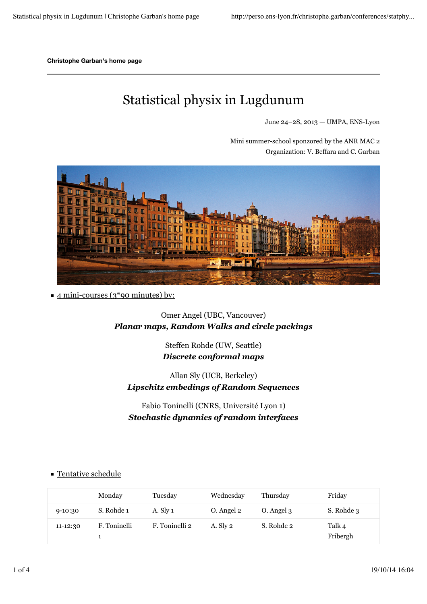**Christophe Garban's home page**

# Statistical physix in Lugdunum

June 24–28, 2013 — UMPA, ENS-Lyon

Mini summer-school sponzored by the ANR MAC 2 Organization: V. Beffara and C. Garban



 $\blacksquare$  4 mini-courses (3\*90 minutes) by:

Omer Angel (UBC, Vancouver) *Planar maps, Random Walks and circle packings*

> Steffen Rohde (UW, Seattle) *Discrete conformal maps*

Allan Sly (UCB, Berkeley) *Lipschitz embedings of Random Sequences*

Fabio Toninelli (CNRS, Université Lyon 1) *Stochastic dynamics of random interfaces*

|              | Monday       | Tuesday        | Wednesday  | Thursday   | Friday             |
|--------------|--------------|----------------|------------|------------|--------------------|
| $9-10:30$    | S. Rohde 1   | A. Sly 1       | O. Angel 2 | O. Angel 3 | S. Rohde 3         |
| $11 - 12:30$ | F. Toninelli | F. Toninelli 2 | A. Sly 2   | S. Rohde 2 | Talk 4<br>Fribergh |

#### Tentative schedule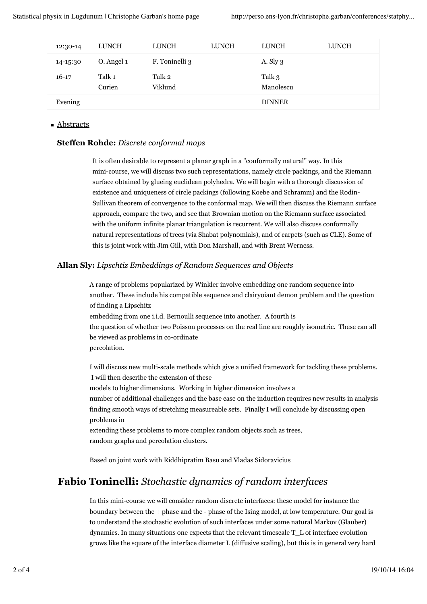| 12:30-14  | <b>LUNCH</b>     | <b>LUNCH</b>      | <b>LUNCH</b> | <b>LUNCH</b>        | <b>LUNCH</b> |
|-----------|------------------|-------------------|--------------|---------------------|--------------|
| 14-15:30  | O. Angel 1       | F. Toninelli 3    |              | A. Sly $3$          |              |
| $16 - 17$ | Talk 1<br>Curien | Talk 2<br>Viklund |              | Talk 3<br>Manolescu |              |
| Evening   |                  |                   |              | <b>DINNER</b>       |              |

#### ■ Abstracts

#### **Steffen Rohde:** *Discrete conformal maps*

It is often desirable to represent a planar graph in a "conformally natural" way. In this mini-course, we will discuss two such representations, namely circle packings, and the Riemann surface obtained by glueing euclidean polyhedra. We will begin with a thorough discussion of existence and uniqueness of circle packings (following Koebe and Schramm) and the Rodin-Sullivan theorem of convergence to the conformal map. We will then discuss the Riemann surface approach, compare the two, and see that Brownian motion on the Riemann surface associated with the uniform infinite planar triangulation is recurrent. We will also discuss conformally natural representations of trees (via Shabat polynomials), and of carpets (such as CLE). Some of this is joint work with Jim Gill, with Don Marshall, and with Brent Werness.

#### **Allan Sly:** *Lipschtiz Embeddings of Random Sequences and Objects*

A range of problems popularized by Winkler involve embedding one random sequence into another. These include his compatible sequence and clairyoiant demon problem and the question of finding a Lipschitz embedding from one i.i.d. Bernoulli sequence into another. A fourth is the question of whether two Poisson processes on the real line are roughly isometric. These can all be viewed as problems in co-ordinate percolation.

I will discuss new multi-scale methods which give a unified framework for tackling these problems. I will then describe the extension of these

models to higher dimensions. Working in higher dimension involves a

number of additional challenges and the base case on the induction requires new results in analysis finding smooth ways of stretching measureable sets. Finally I will conclude by discussing open problems in

extending these problems to more complex random objects such as trees, random graphs and percolation clusters.

Based on joint work with Riddhipratim Basu and Vladas Sidoravicius

### **Fabio Toninelli:** *Stochastic dynamics of random interfaces*

In this mini-course we will consider random discrete interfaces: these model for instance the boundary between the + phase and the - phase of the Ising model, at low temperature. Our goal is to understand the stochastic evolution of such interfaces under some natural Markov (Glauber) dynamics. In many situations one expects that the relevant timescale T\_L of interface evolution grows like the square of the interface diameter L (diffusive scaling), but this is in general very hard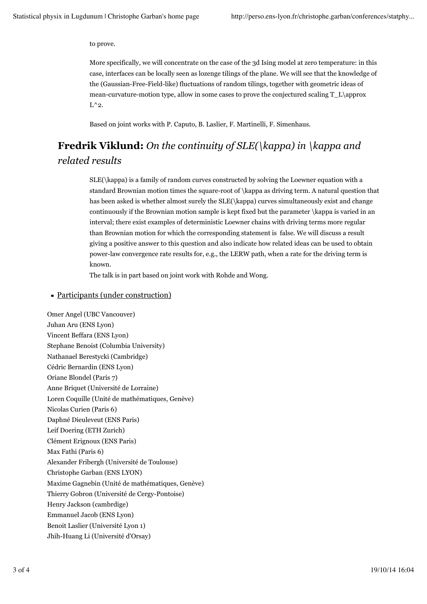to prove.

More specifically, we will concentrate on the case of the 3d Ising model at zero temperature: in this case, interfaces can be locally seen as lozenge tilings of the plane. We will see that the knowledge of the (Gaussian-Free-Field-like) fluctuations of random tilings, together with geometric ideas of mean-curvature-motion type, allow in some cases to prove the conjectured scaling  $T_L\$  $L^2$ .

Based on joint works with P. Caputo, B. Laslier, F. Martinelli, F. Simenhaus.

## **Fredrik Viklund:** *On the continuity of SLE(\kappa) in \kappa and related results*

SLE(\kappa) is a family of random curves constructed by solving the Loewner equation with a standard Brownian motion times the square-root of \kappa as driving term. A natural question that has been asked is whether almost surely the SLE(\kappa) curves simultaneously exist and change continuously if the Brownian motion sample is kept fixed but the parameter \kappa is varied in an interval; there exist examples of deterministic Loewner chains with driving terms more regular than Brownian motion for which the corresponding statement is false. We will discuss a result giving a positive answer to this question and also indicate how related ideas can be used to obtain power-law convergence rate results for, e.g., the LERW path, when a rate for the driving term is known.

The talk is in part based on joint work with Rohde and Wong.

#### Participants (under construction)

Omer Angel (UBC Vancouver) Juhan Aru (ENS Lyon) Vincent Beffara (ENS Lyon) Stephane Benoist (Columbia University) Nathanael Berestycki (Cambridge) Cédric Bernardin (ENS Lyon) Oriane Blondel (Paris 7) Anne Briquet (Université de Lorraine) Loren Coquille (Unité de mathématiques, Genève) Nicolas Curien (Paris 6) Daphné Dieuleveut (ENS Paris) Leif Doering (ETH Zurich) Clément Erignoux (ENS Paris) Max Fathi (Paris 6) Alexander Fribergh (Université de Toulouse) Christophe Garban (ENS LYON) Maxime Gagnebin (Unité de mathématiques, Genève) Thierry Gobron (Université de Cergy-Pontoise) Henry Jackson (cambrdige) Emmanuel Jacob (ENS Lyon) Benoit Laslier (Université Lyon 1) Jhih-Huang Li (Université d'Orsay)